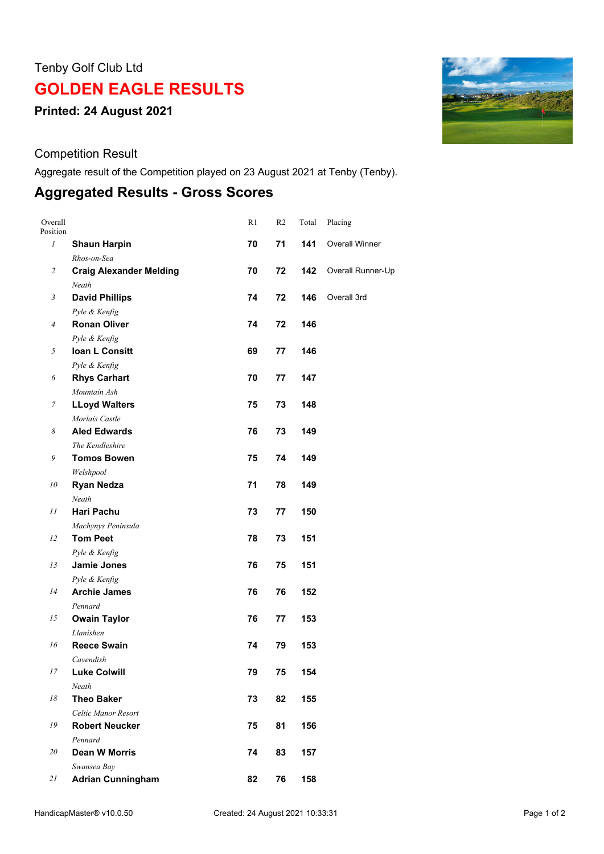## Tenby Golf Club Ltd

## **GOLDEN EAGLE RESULTS**

**Printed: 24 August 2021**

Competition Result

Aggregate result of the Competition played on 23 August 2021 at Tenby (Tenby).

## **Aggregated Results - Gross Scores**

| Overall<br>Position |                                         | R <sub>1</sub> | R <sub>2</sub> | Total | Placing               |
|---------------------|-----------------------------------------|----------------|----------------|-------|-----------------------|
| 1                   | <b>Shaun Harpin</b>                     | 70             | 71             | 141   | <b>Overall Winner</b> |
|                     | Rhos-on-Sea                             |                |                |       |                       |
| $\overline{c}$      | <b>Craig Alexander Melding</b><br>Neath | 70             | 72             | 142   | Overall Runner-Up     |
| 3                   | <b>David Phillips</b>                   | 74             | 72             | 146   | Overall 3rd           |
|                     | Pyle & Kenfig                           |                |                |       |                       |
| $\overline{4}$      | <b>Ronan Oliver</b>                     | 74             | 72             | 146   |                       |
|                     | Pyle & Kenfig                           |                |                |       |                       |
| 5                   | Ioan L Consitt                          | 69             | 77             | 146   |                       |
|                     | Pyle & Kenfig                           |                |                |       |                       |
| 6                   | <b>Rhys Carhart</b>                     | 70             | 77             | 147   |                       |
|                     | Mountain Ash                            |                |                |       |                       |
| $\boldsymbol{7}$    | <b>LLoyd Walters</b>                    | 75             | 73             | 148   |                       |
|                     | Morlais Castle                          |                |                |       |                       |
| 8                   | <b>Aled Edwards</b>                     | 76             | 73             | 149   |                       |
|                     | The Kendleshire                         |                |                |       |                       |
| 9                   | <b>Tomos Bowen</b>                      | 75             | 74             | 149   |                       |
|                     | Welshpool                               |                |                |       |                       |
| 10                  | <b>Ryan Nedza</b>                       | 71             | 78             | 149   |                       |
|                     | Neath                                   |                |                |       |                       |
| 11                  | <b>Hari Pachu</b>                       | 73             | 77             | 150   |                       |
|                     | Machynys Peninsula                      |                |                |       |                       |
| 12                  | <b>Tom Peet</b>                         | 78             | 73             | 151   |                       |
|                     | Pyle & Kenfig                           |                |                |       |                       |
| 13                  | Jamie Jones                             | 76             | 75             | 151   |                       |
|                     | Pyle & Kenfig                           |                |                |       |                       |
| 14                  | <b>Archie James</b>                     | 76             | 76             | 152   |                       |
|                     | Pennard                                 |                |                |       |                       |
| 15                  | <b>Owain Taylor</b>                     | 76             | 77             | 153   |                       |
|                     | Llanishen                               |                |                |       |                       |
| 16                  | <b>Reece Swain</b>                      | 74             | 79             | 153   |                       |
|                     | Cavendish                               |                |                |       |                       |
| 17                  | <b>Luke Colwill</b>                     | 79             | 75             | 154   |                       |
|                     | Neath                                   |                |                |       |                       |
| 18                  | <b>Theo Baker</b>                       | 73             | 82             | 155   |                       |
|                     | Celtic Manor Resort                     |                |                |       |                       |
| 19                  | <b>Robert Neucker</b>                   | 75             | 81             | 156   |                       |
|                     | Pennard                                 |                |                |       |                       |
| 20                  | Dean W Morris                           | 74             | 83             | 157   |                       |
|                     | Swansea Bay                             |                |                |       |                       |
| 21                  | <b>Adrian Cunningham</b>                | 82             | 76             | 158   |                       |